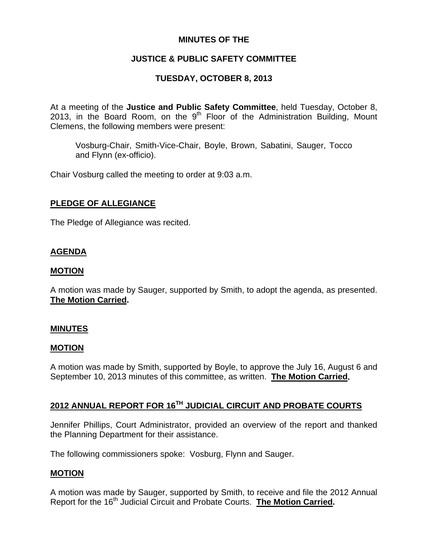## **MINUTES OF THE**

# **JUSTICE & PUBLIC SAFETY COMMITTEE**

# **TUESDAY, OCTOBER 8, 2013**

At a meeting of the **Justice and Public Safety Committee**, held Tuesday, October 8, 2013, in the Board Room, on the  $9<sup>th</sup>$  Floor of the Administration Building, Mount Clemens, the following members were present:

Vosburg-Chair, Smith-Vice-Chair, Boyle, Brown, Sabatini, Sauger, Tocco and Flynn (ex-officio).

Chair Vosburg called the meeting to order at 9:03 a.m.

## **PLEDGE OF ALLEGIANCE**

The Pledge of Allegiance was recited.

## **AGENDA**

## **MOTION**

A motion was made by Sauger, supported by Smith, to adopt the agenda, as presented. **The Motion Carried.** 

#### **MINUTES**

#### **MOTION**

A motion was made by Smith, supported by Boyle, to approve the July 16, August 6 and September 10, 2013 minutes of this committee, as written. **The Motion Carried.** 

# **2012 ANNUAL REPORT FOR 16TH JUDICIAL CIRCUIT AND PROBATE COURTS**

Jennifer Phillips, Court Administrator, provided an overview of the report and thanked the Planning Department for their assistance.

The following commissioners spoke: Vosburg, Flynn and Sauger.

#### **MOTION**

A motion was made by Sauger, supported by Smith, to receive and file the 2012 Annual Report for the 16<sup>th</sup> Judicial Circuit and Probate Courts. **The Motion Carried.**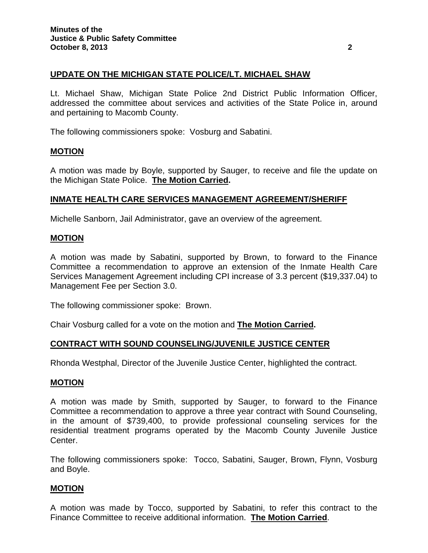## **UPDATE ON THE MICHIGAN STATE POLICE/LT. MICHAEL SHAW**

Lt. Michael Shaw, Michigan State Police 2nd District Public Information Officer, addressed the committee about services and activities of the State Police in, around and pertaining to Macomb County.

The following commissioners spoke: Vosburg and Sabatini.

#### **MOTION**

A motion was made by Boyle, supported by Sauger, to receive and file the update on the Michigan State Police. **The Motion Carried.** 

#### **INMATE HEALTH CARE SERVICES MANAGEMENT AGREEMENT/SHERIFF**

Michelle Sanborn, Jail Administrator, gave an overview of the agreement.

#### **MOTION**

A motion was made by Sabatini, supported by Brown, to forward to the Finance Committee a recommendation to approve an extension of the Inmate Health Care Services Management Agreement including CPI increase of 3.3 percent (\$19,337.04) to Management Fee per Section 3.0.

The following commissioner spoke: Brown.

Chair Vosburg called for a vote on the motion and **The Motion Carried.** 

#### **CONTRACT WITH SOUND COUNSELING/JUVENILE JUSTICE CENTER**

Rhonda Westphal, Director of the Juvenile Justice Center, highlighted the contract.

#### **MOTION**

A motion was made by Smith, supported by Sauger, to forward to the Finance Committee a recommendation to approve a three year contract with Sound Counseling, in the amount of \$739,400, to provide professional counseling services for the residential treatment programs operated by the Macomb County Juvenile Justice Center.

The following commissioners spoke: Tocco, Sabatini, Sauger, Brown, Flynn, Vosburg and Boyle.

#### **MOTION**

A motion was made by Tocco, supported by Sabatini, to refer this contract to the Finance Committee to receive additional information. **The Motion Carried**.